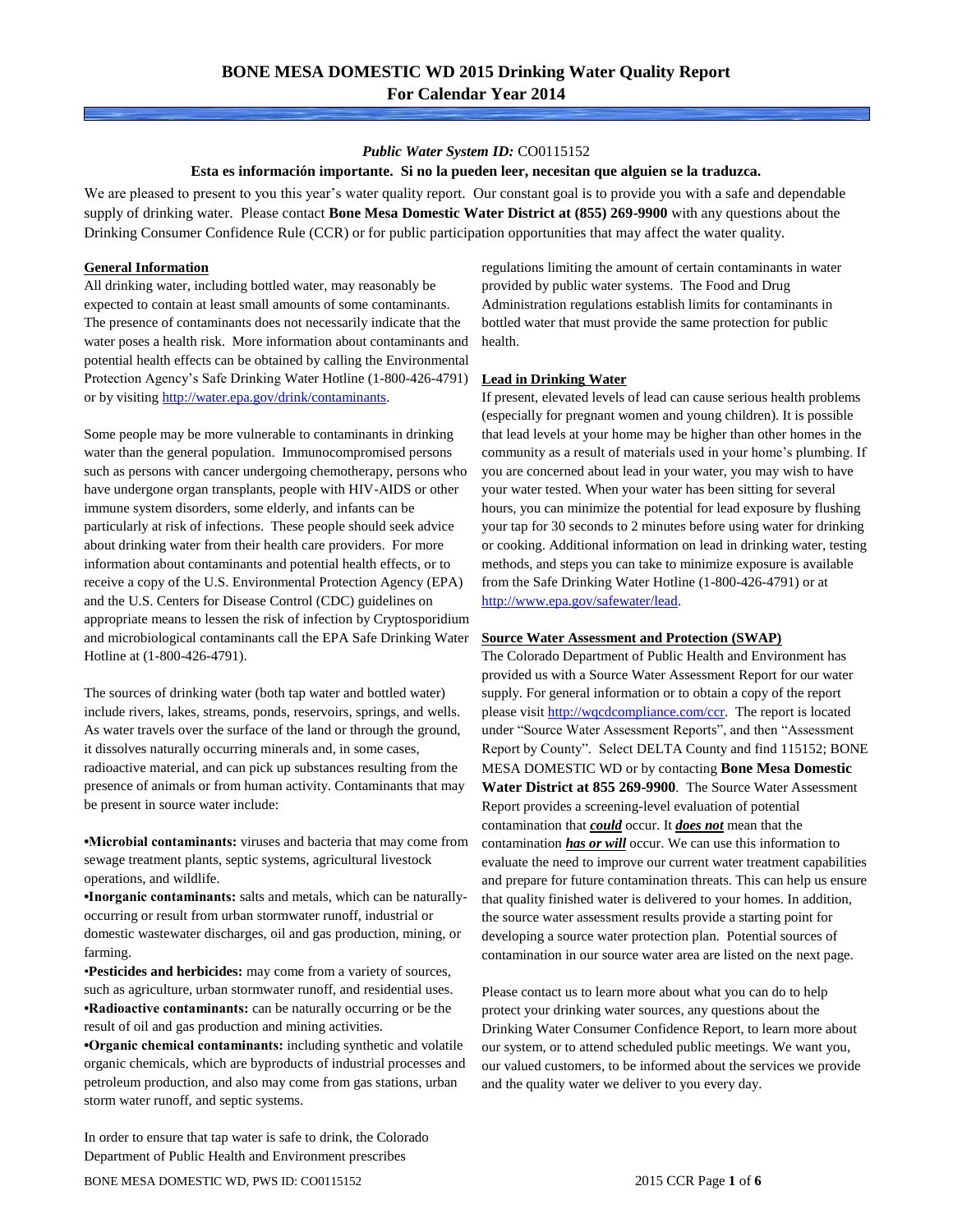### *Public Water System ID:* CO0115152

### **Esta es información importante. Si no la pueden leer, necesitan que alguien se la traduzca.**

We are pleased to present to you this year's water quality report. Our constant goal is to provide you with a safe and dependable supply of drinking water. Please contact **Bone Mesa Domestic Water District at (855) 269-9900** with any questions about the Drinking Consumer Confidence Rule (CCR) or for public participation opportunities that may affect the water quality.

### **General Information**

All drinking water, including bottled water, may reasonably be expected to contain at least small amounts of some contaminants. The presence of contaminants does not necessarily indicate that the water poses a health risk. More information about contaminants and potential health effects can be obtained by calling the Environmental Protection Agency's Safe Drinking Water Hotline (1-800-426-4791) or by visiting [http://water.epa.gov/drink/contaminants.](http://water.epa.gov/drink/contaminants)

Some people may be more vulnerable to contaminants in drinking water than the general population. Immunocompromised persons such as persons with cancer undergoing chemotherapy, persons who have undergone organ transplants, people with HIV-AIDS or other immune system disorders, some elderly, and infants can be particularly at risk of infections. These people should seek advice about drinking water from their health care providers. For more information about contaminants and potential health effects, or to receive a copy of the U.S. Environmental Protection Agency (EPA) and the U.S. Centers for Disease Control (CDC) guidelines on appropriate means to lessen the risk of infection by Cryptosporidium and microbiological contaminants call the EPA Safe Drinking Water Hotline at (1-800-426-4791).

The sources of drinking water (both tap water and bottled water) include rivers, lakes, streams, ponds, reservoirs, springs, and wells. As water travels over the surface of the land or through the ground, it dissolves naturally occurring minerals and, in some cases, radioactive material, and can pick up substances resulting from the presence of animals or from human activity. Contaminants that may be present in source water include:

**•Microbial contaminants:** viruses and bacteria that may come from sewage treatment plants, septic systems, agricultural livestock operations, and wildlife.

**•Inorganic contaminants:** salts and metals, which can be naturallyoccurring or result from urban stormwater runoff, industrial or domestic wastewater discharges, oil and gas production, mining, or farming.

•**Pesticides and herbicides:** may come from a variety of sources, such as agriculture, urban stormwater runoff, and residential uses. **•Radioactive contaminants:** can be naturally occurring or be the result of oil and gas production and mining activities.

**•Organic chemical contaminants:** including synthetic and volatile organic chemicals, which are byproducts of industrial processes and petroleum production, and also may come from gas stations, urban storm water runoff, and septic systems.

In order to ensure that tap water is safe to drink, the Colorado Department of Public Health and Environment prescribes

regulations limiting the amount of certain contaminants in water provided by public water systems. The Food and Drug Administration regulations establish limits for contaminants in bottled water that must provide the same protection for public health.

### **Lead in Drinking Water**

If present, elevated levels of lead can cause serious health problems (especially for pregnant women and young children). It is possible that lead levels at your home may be higher than other homes in the community as a result of materials used in your home's plumbing. If you are concerned about lead in your water, you may wish to have your water tested. When your water has been sitting for several hours, you can minimize the potential for lead exposure by flushing your tap for 30 seconds to 2 minutes before using water for drinking or cooking. Additional information on lead in drinking water, testing methods, and steps you can take to minimize exposure is available from the Safe Drinking Water Hotline (1-800-426-4791) or at [http://www.epa.gov/safewater/lead.](http://www.epa.gov/safewater/lead) 

#### **Source Water Assessment and Protection (SWAP)**

The Colorado Department of Public Health and Environment has provided us with a Source Water Assessment Report for our water supply. For general information or to obtain a copy of the report please visit [http://wqcdcompliance.com/ccr.](http://wqcdcompliance.com/ccr) The report is located under "Source Water Assessment Reports", and then "Assessment Report by County". Select DELTA County and find 115152; BONE MESA DOMESTIC WD or by contacting **Bone Mesa Domestic Water District at 855 269-9900**. The Source Water Assessment Report provides a screening-level evaluation of potential contamination that *could* occur. It *does not* mean that the contamination *has or will* occur. We can use this information to evaluate the need to improve our current water treatment capabilities and prepare for future contamination threats. This can help us ensure that quality finished water is delivered to your homes. In addition, the source water assessment results provide a starting point for developing a source water protection plan. Potential sources of contamination in our source water area are listed on the next page.

Please contact us to learn more about what you can do to help protect your drinking water sources, any questions about the Drinking Water Consumer Confidence Report, to learn more about our system, or to attend scheduled public meetings. We want you, our valued customers, to be informed about the services we provide and the quality water we deliver to you every day.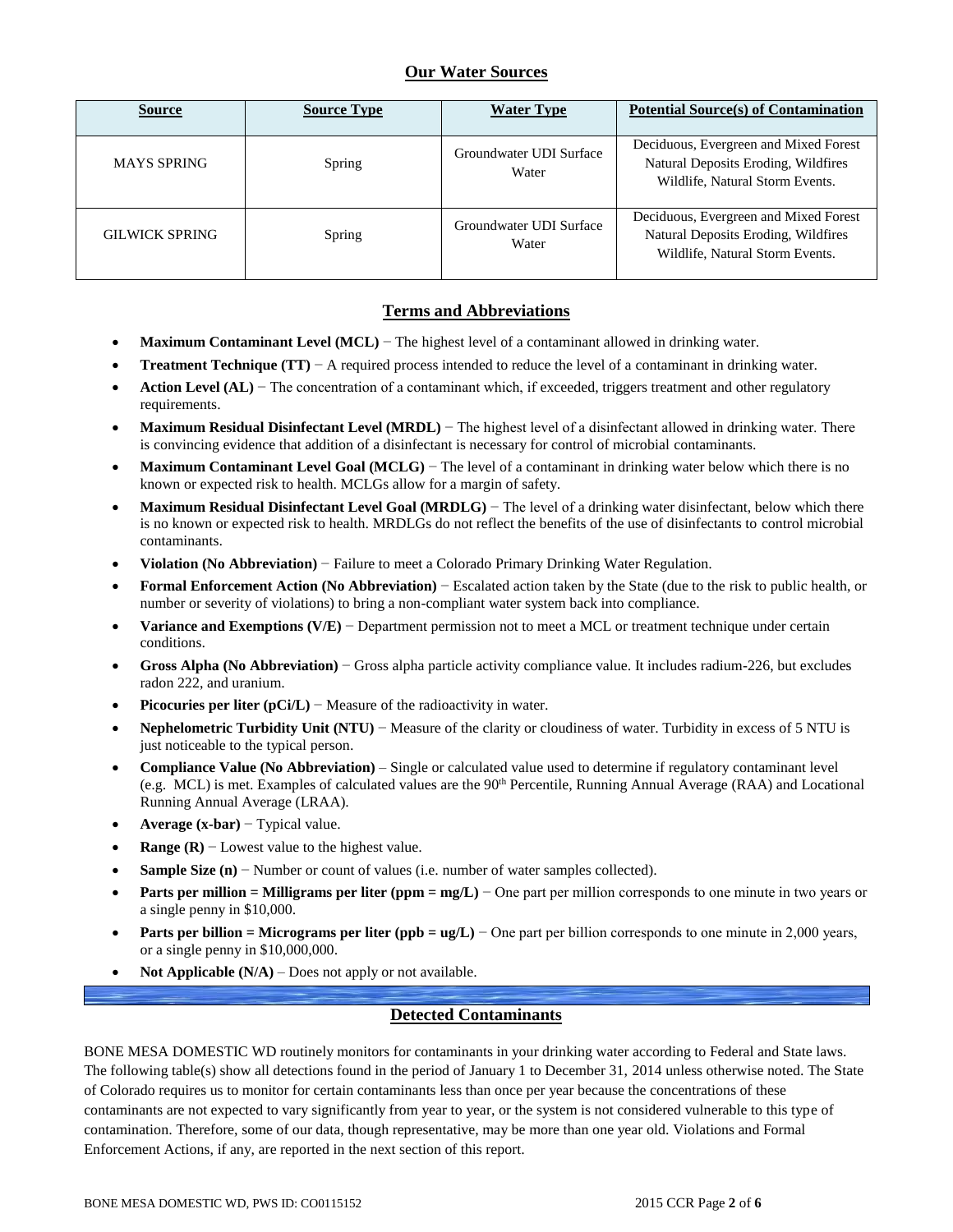## **Our Water Sources**

| <b>Source</b>         | <b>Source Type</b> | <b>Water Type</b>                | <b>Potential Source(s) of Contamination</b>                                                                     |
|-----------------------|--------------------|----------------------------------|-----------------------------------------------------------------------------------------------------------------|
| <b>MAYS SPRING</b>    | Spring             | Groundwater UDI Surface<br>Water | Deciduous, Evergreen and Mixed Forest<br>Natural Deposits Eroding, Wildfires<br>Wildlife, Natural Storm Events. |
| <b>GILWICK SPRING</b> | Spring             | Groundwater UDI Surface<br>Water | Deciduous, Evergreen and Mixed Forest<br>Natural Deposits Eroding, Wildfires<br>Wildlife, Natural Storm Events. |

## **Terms and Abbreviations**

- **Maximum Contaminant Level (MCL)** − The highest level of a contaminant allowed in drinking water.
- **Treatment Technique (TT)** − A required process intended to reduce the level of a contaminant in drinking water.
- **Action Level (AL)** − The concentration of a contaminant which, if exceeded, triggers treatment and other regulatory requirements.
- **Maximum Residual Disinfectant Level (MRDL)** − The highest level of a disinfectant allowed in drinking water. There is convincing evidence that addition of a disinfectant is necessary for control of microbial contaminants.
- **Maximum Contaminant Level Goal (MCLG)** − The level of a contaminant in drinking water below which there is no known or expected risk to health. MCLGs allow for a margin of safety.
- **Maximum Residual Disinfectant Level Goal (MRDLG)** − The level of a drinking water disinfectant, below which there is no known or expected risk to health. MRDLGs do not reflect the benefits of the use of disinfectants to control microbial contaminants.
- **Violation (No Abbreviation)** − Failure to meet a Colorado Primary Drinking Water Regulation.
- **Formal Enforcement Action (No Abbreviation)** − Escalated action taken by the State (due to the risk to public health, or number or severity of violations) to bring a non-compliant water system back into compliance.
- **Variance and Exemptions (V/E)** − Department permission not to meet a MCL or treatment technique under certain conditions.
- **Gross Alpha (No Abbreviation)** − Gross alpha particle activity compliance value. It includes radium-226, but excludes radon 222, and uranium.
- **Picocuries per liter (pCi/L)** − Measure of the radioactivity in water.
- **Nephelometric Turbidity Unit (NTU)** − Measure of the clarity or cloudiness of water. Turbidity in excess of 5 NTU is just noticeable to the typical person.
- **Compliance Value (No Abbreviation)** Single or calculated value used to determine if regulatory contaminant level (e.g. MCL) is met. Examples of calculated values are the 90<sup>th</sup> Percentile, Running Annual Average (RAA) and Locational Running Annual Average (LRAA).
- **Average (x-bar)** − Typical value.
- **Range (R)**  $-$  Lowest value to the highest value.
- **Sample Size (n)** − Number or count of values (i.e. number of water samples collected).
- **Parts per million = Milligrams per liter (ppm = mg/L)** − One part per million corresponds to one minute in two years or a single penny in \$10,000.
- **Parts per billion = Micrograms per liter (ppb = ug/L)** − One part per billion corresponds to one minute in 2,000 years, or a single penny in \$10,000,000.
- **Not Applicable (N/A)** Does not apply or not available.

### **Detected Contaminants**

BONE MESA DOMESTIC WD routinely monitors for contaminants in your drinking water according to Federal and State laws. The following table(s) show all detections found in the period of January 1 to December 31, 2014 unless otherwise noted. The State of Colorado requires us to monitor for certain contaminants less than once per year because the concentrations of these contaminants are not expected to vary significantly from year to year, or the system is not considered vulnerable to this type of contamination. Therefore, some of our data, though representative, may be more than one year old. Violations and Formal Enforcement Actions, if any, are reported in the next section of this report.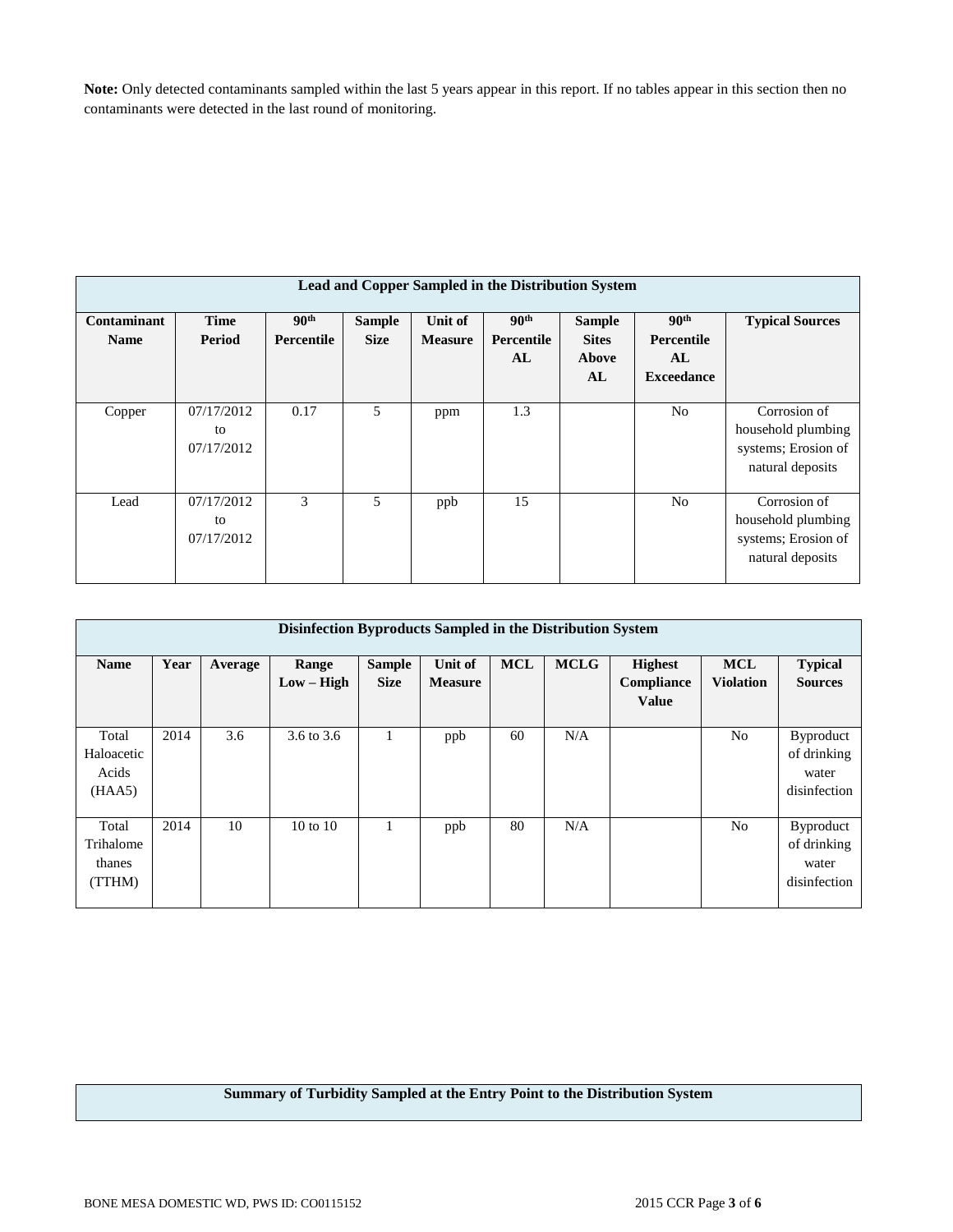**Note:** Only detected contaminants sampled within the last 5 years appear in this report. If no tables appear in this section then no contaminants were detected in the last round of monitoring.

|                            | Lead and Copper Sampled in the Distribution System |                                       |                              |                           |                                             |                                              |                                                                  |                                                                               |  |  |
|----------------------------|----------------------------------------------------|---------------------------------------|------------------------------|---------------------------|---------------------------------------------|----------------------------------------------|------------------------------------------------------------------|-------------------------------------------------------------------------------|--|--|
| Contaminant<br><b>Name</b> | <b>Time</b><br>Period                              | 90 <sup>th</sup><br><b>Percentile</b> | <b>Sample</b><br><b>Size</b> | Unit of<br><b>Measure</b> | 90 <sup>th</sup><br><b>Percentile</b><br>AL | <b>Sample</b><br><b>Sites</b><br>Above<br>AL | 90 <sup>th</sup><br><b>Percentile</b><br>AL<br><b>Exceedance</b> | <b>Typical Sources</b>                                                        |  |  |
| Copper                     | 07/17/2012<br>to<br>07/17/2012                     | 0.17                                  | 5                            | ppm                       | 1.3                                         |                                              | N <sub>o</sub>                                                   | Corrosion of<br>household plumbing<br>systems; Erosion of<br>natural deposits |  |  |
| Lead                       | 07/17/2012<br>to<br>07/17/2012                     | 3                                     | 5                            | ppb                       | 15                                          |                                              | N <sub>0</sub>                                                   | Corrosion of<br>household plumbing<br>systems; Erosion of<br>natural deposits |  |  |

|                                        | Disinfection Byproducts Sampled in the Distribution System |         |                       |                              |                           |            |             |                                              |                                |                                                          |
|----------------------------------------|------------------------------------------------------------|---------|-----------------------|------------------------------|---------------------------|------------|-------------|----------------------------------------------|--------------------------------|----------------------------------------------------------|
| <b>Name</b>                            | Year                                                       | Average | Range<br>$Low - High$ | <b>Sample</b><br><b>Size</b> | Unit of<br><b>Measure</b> | <b>MCL</b> | <b>MCLG</b> | <b>Highest</b><br>Compliance<br><b>Value</b> | <b>MCL</b><br><b>Violation</b> | <b>Typical</b><br><b>Sources</b>                         |
| Total<br>Haloacetic<br>Acids<br>(HAA5) | 2014                                                       | 3.6     | 3.6 to 3.6            |                              | ppb                       | 60         | N/A         |                                              | No                             | <b>Byproduct</b><br>of drinking<br>water<br>disinfection |
| Total<br>Trihalome<br>thanes<br>(TTHM) | 2014                                                       | 10      | $10 \text{ to } 10$   |                              | ppb                       | 80         | N/A         |                                              | N <sub>0</sub>                 | <b>Byproduct</b><br>of drinking<br>water<br>disinfection |

## **Summary of Turbidity Sampled at the Entry Point to the Distribution System**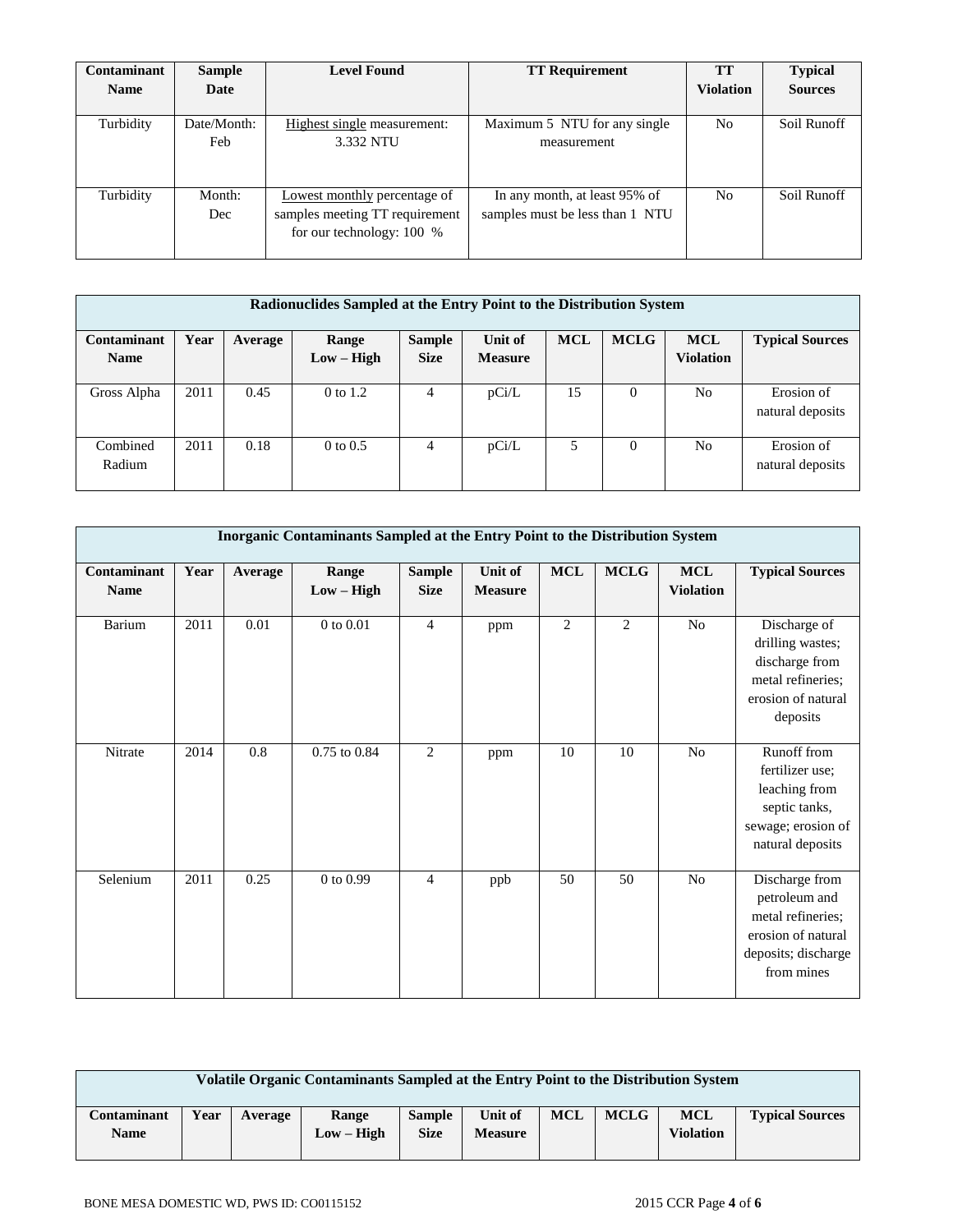| Contaminant | <b>Sample</b>      | <b>Level Found</b>                                                                          | <b>TT Requirement</b>                                            | <b>TT</b>        | <b>Typical</b> |
|-------------|--------------------|---------------------------------------------------------------------------------------------|------------------------------------------------------------------|------------------|----------------|
| <b>Name</b> | Date               |                                                                                             |                                                                  | <b>Violation</b> | <b>Sources</b> |
| Turbidity   | Date/Month:<br>Feb | Highest single measurement:<br>3.332 NTU                                                    | Maximum 5 NTU for any single<br>measurement                      | No               | Soil Runoff    |
| Turbidity   | Month:<br>Dec      | Lowest monthly percentage of<br>samples meeting TT requirement<br>for our technology: 100 % | In any month, at least 95% of<br>samples must be less than 1 NTU | N <sub>o</sub>   | Soil Runoff    |

| Radionuclides Sampled at the Entry Point to the Distribution System |      |         |                     |               |                |            |             |                  |                        |
|---------------------------------------------------------------------|------|---------|---------------------|---------------|----------------|------------|-------------|------------------|------------------------|
| Contaminant                                                         | Year | Average | Range               | <b>Sample</b> | Unit of        | <b>MCL</b> | <b>MCLG</b> | <b>MCL</b>       | <b>Typical Sources</b> |
| <b>Name</b>                                                         |      |         | $Low - High$        | <b>Size</b>   | <b>Measure</b> |            |             | <b>Violation</b> |                        |
|                                                                     |      |         |                     |               |                |            |             |                  |                        |
| Gross Alpha                                                         | 2011 | 0.45    | $0$ to $1.2$        | 4             | pCi/L          | 15         | $\Omega$    | N <sub>o</sub>   | Erosion of             |
|                                                                     |      |         |                     |               |                |            |             |                  | natural deposits       |
|                                                                     |      |         |                     |               |                |            |             |                  |                        |
| Combined                                                            | 2011 | 0.18    | $0 \text{ to } 0.5$ | 4             | pCi/L          | 5          | 0           | N <sub>o</sub>   | Erosion of             |
| Radium                                                              |      |         |                     |               |                |            |             |                  | natural deposits       |
|                                                                     |      |         |                     |               |                |            |             |                  |                        |

|                            | Inorganic Contaminants Sampled at the Entry Point to the Distribution System |                  |                         |                              |                           |                |             |                                |                                                                                                                 |  |  |
|----------------------------|------------------------------------------------------------------------------|------------------|-------------------------|------------------------------|---------------------------|----------------|-------------|--------------------------------|-----------------------------------------------------------------------------------------------------------------|--|--|
| Contaminant<br><b>Name</b> | Year                                                                         | Average          | Range<br>$Low - High$   | <b>Sample</b><br><b>Size</b> | Unit of<br><b>Measure</b> | <b>MCL</b>     | <b>MCLG</b> | <b>MCL</b><br><b>Violation</b> | <b>Typical Sources</b>                                                                                          |  |  |
| Barium                     | 2011                                                                         | 0.01             | 0 to 0.01               | $\overline{4}$               | ppm                       | $\mathfrak{2}$ | 2           | No                             | Discharge of<br>drilling wastes;<br>discharge from<br>metal refineries;<br>erosion of natural<br>deposits       |  |  |
| Nitrate                    | 2014                                                                         | $\overline{0.8}$ | $0.75 \text{ to } 0.84$ | $\overline{c}$               | ppm                       | 10             | 10          | No                             | Runoff from<br>fertilizer use;<br>leaching from<br>septic tanks,<br>sewage; erosion of<br>natural deposits      |  |  |
| Selenium                   | 2011                                                                         | 0.25             | $0$ to $0.99$           | $\overline{4}$               | ppb                       | 50             | 50          | No                             | Discharge from<br>petroleum and<br>metal refineries;<br>erosion of natural<br>deposits; discharge<br>from mines |  |  |

| Volatile Organic Contaminants Sampled at the Entry Point to the Distribution System |      |         |                       |                              |                           |            |             |                         |                        |
|-------------------------------------------------------------------------------------|------|---------|-----------------------|------------------------------|---------------------------|------------|-------------|-------------------------|------------------------|
| Contaminant<br><b>Name</b>                                                          | Year | Average | Range<br>$Low - High$ | <b>Sample</b><br><b>Size</b> | Unit of<br><b>Measure</b> | <b>MCL</b> | <b>MCLG</b> | <b>MCL</b><br>Violation | <b>Typical Sources</b> |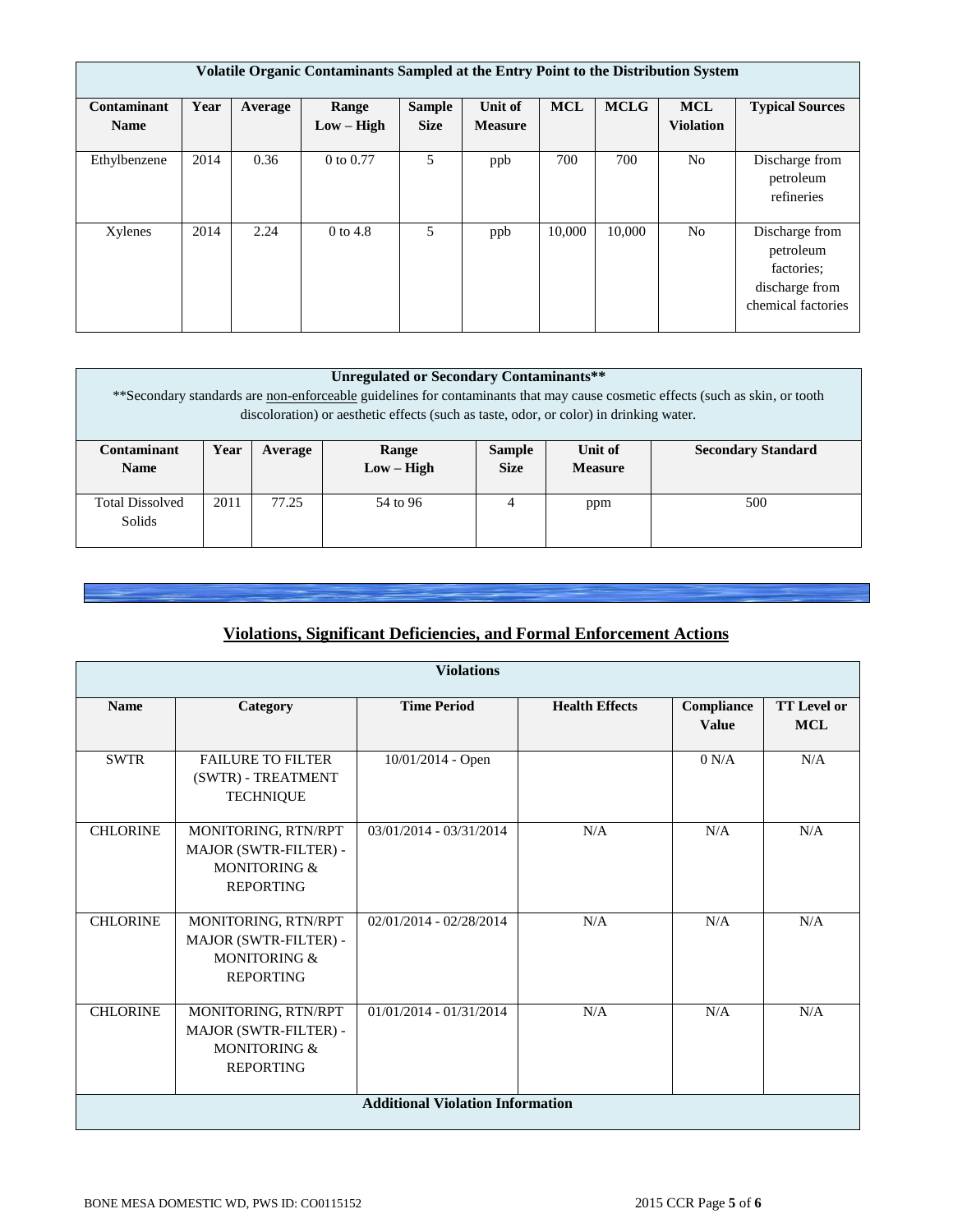|                            | Volatile Organic Contaminants Sampled at the Entry Point to the Distribution System |         |                       |                              |                           |            |             |                                |                                                                                   |
|----------------------------|-------------------------------------------------------------------------------------|---------|-----------------------|------------------------------|---------------------------|------------|-------------|--------------------------------|-----------------------------------------------------------------------------------|
| Contaminant<br><b>Name</b> | Year                                                                                | Average | Range<br>$Low - High$ | <b>Sample</b><br><b>Size</b> | Unit of<br><b>Measure</b> | <b>MCL</b> | <b>MCLG</b> | <b>MCL</b><br><b>Violation</b> | <b>Typical Sources</b>                                                            |
| Ethylbenzene               | 2014                                                                                | 0.36    | 0 to 0.77             | 5                            | ppb                       | 700        | 700         | N <sub>o</sub>                 | Discharge from<br>petroleum<br>refineries                                         |
| Xylenes                    | 2014                                                                                | 2.24    | $0$ to 4.8            | 5.                           | ppb                       | 10,000     | 10,000      | N <sub>o</sub>                 | Discharge from<br>petroleum<br>factories:<br>discharge from<br>chemical factories |

| Unregulated or Secondary Contaminants**<br>**Secondary standards are non-enforceable guidelines for contaminants that may cause cosmetic effects (such as skin, or tooth<br>discoloration) or aesthetic effects (such as taste, odor, or color) in drinking water. |      |         |                       |                              |                           |                           |  |
|--------------------------------------------------------------------------------------------------------------------------------------------------------------------------------------------------------------------------------------------------------------------|------|---------|-----------------------|------------------------------|---------------------------|---------------------------|--|
| Contaminant<br><b>Name</b>                                                                                                                                                                                                                                         | Year | Average | Range<br>$Low - High$ | <b>Sample</b><br><b>Size</b> | Unit of<br><b>Measure</b> | <b>Secondary Standard</b> |  |
| <b>Total Dissolved</b><br>Solids                                                                                                                                                                                                                                   | 2011 | 77.25   | 54 to 96              | 4                            | ppm                       | 500                       |  |

# **Violations, Significant Deficiencies, and Formal Enforcement Actions**

|                 | <b>Violations</b>                                                                |                                         |                       |                            |                                  |  |  |  |  |  |
|-----------------|----------------------------------------------------------------------------------|-----------------------------------------|-----------------------|----------------------------|----------------------------------|--|--|--|--|--|
| <b>Name</b>     | Category                                                                         | <b>Time Period</b>                      | <b>Health Effects</b> | Compliance<br><b>Value</b> | <b>TT Level or</b><br><b>MCL</b> |  |  |  |  |  |
| <b>SWTR</b>     | <b>FAILURE TO FILTER</b><br>(SWTR) - TREATMENT<br><b>TECHNIQUE</b>               | 10/01/2014 - Open                       |                       | 0 N/A                      | N/A                              |  |  |  |  |  |
| <b>CHLORINE</b> | MONITORING, RTN/RPT<br>MAJOR (SWTR-FILTER) -<br>MONITORING &<br><b>REPORTING</b> | $03/01/2014 - 03/31/2014$               | N/A                   | N/A                        | N/A                              |  |  |  |  |  |
| <b>CHLORINE</b> | MONITORING, RTN/RPT<br>MAJOR (SWTR-FILTER) -<br>MONITORING &<br><b>REPORTING</b> | 02/01/2014 - 02/28/2014                 | N/A                   | N/A                        | N/A                              |  |  |  |  |  |
| <b>CHLORINE</b> | MONITORING, RTN/RPT<br>MAJOR (SWTR-FILTER) -<br>MONITORING &<br><b>REPORTING</b> | $01/01/2014 - 01/31/2014$               | N/A                   | N/A                        | N/A                              |  |  |  |  |  |
|                 |                                                                                  | <b>Additional Violation Information</b> |                       |                            |                                  |  |  |  |  |  |